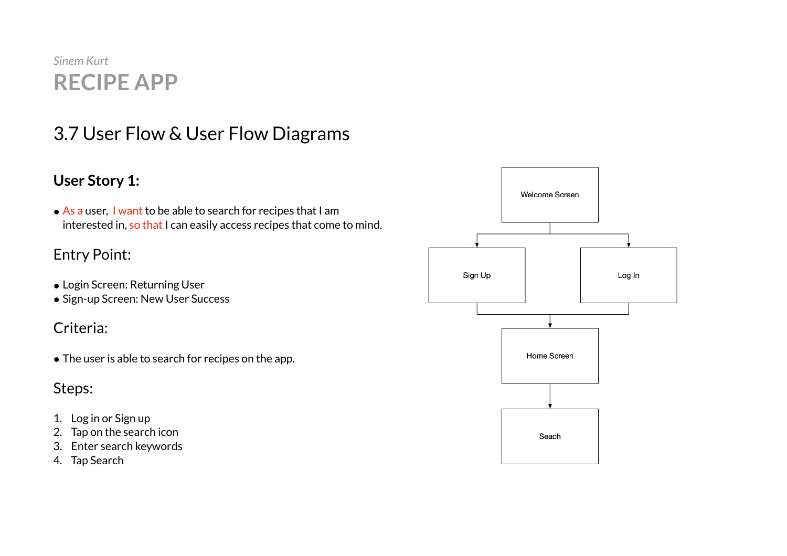# *Sinem Kurt*  **RECIPE APP**

# 3.7 User Flow & User Flow Diagrams

### **User Story 1:**

• As a user, I want to be able to search for recipes that I am interested in, so that I can easily access recipes that come to mind.

# Entry Point:

- Login Screen: Returning User
- Sign-up Screen: New User Success

# Criteria:

• The user is able to search for recipes on the app.

- 1. Log in or Sign up
- 2. Tap on the search icon
- 3. Enter search keywords
- 4. Tap Search

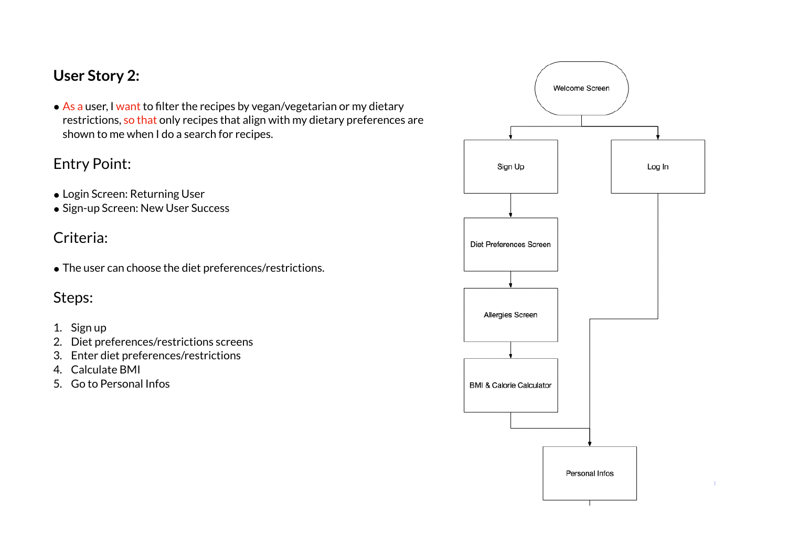### **User Story 2:**

• As a user, I want to filter the recipes by vegan/vegetarian or my dietary restrictions, so that only recipes that align with my dietary preferences are shown to me when I do a search for recipes.

#### Entry Point:

- Login Screen: Returning User
- Sign-up Screen: New User Success

### Criteria:

● The user can choose the diet preferences/restrictions.

# Steps:

#### 1. Sign up

- 2. Diet preferences/restrictions screens
- 3. Enter diet preferences/restrictions
- 4. Calculate BMI
- 5. Go to Personal Infos

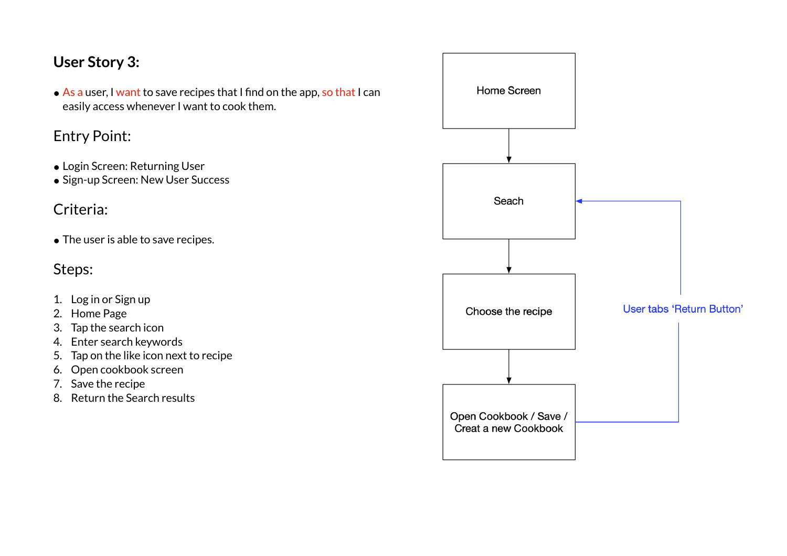# **User Story 3:**

● As a user, I want to save recipes that I find on the app, so that I can easily access whenever I want to cook them.

#### Entry Point:

- Login Screen: Returning User
- Sign-up Screen: New User Success

# Criteria:

• The user is able to save recipes.

- 1. Log in or Sign up
- 2. Home Page
- 3. Tap the search icon
- 4. Enter search keywords
- 5. Tap on the like icon next to recipe
- 6. Open cookbook screen
- 7. Save the recipe
- 8. Return the Search results

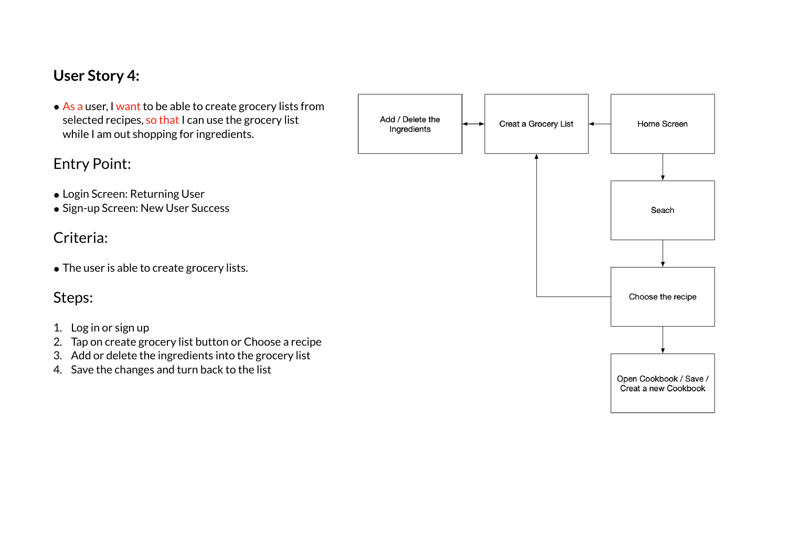#### **User Story 4:**

● As a user, I want to be able to create grocery lists from selected recipes, so that I can use the grocery list while I am out shopping for ingredients.

#### Entry Point:

- Login Screen: Returning User
- Sign-up Screen: New User Success

#### Criteria:

• The user is able to create grocery lists.

- 1. Log in or sign up
- 2. Tap on create grocery list button or Choose a recipe
- 3. Add or delete the ingredients into the grocery list
- 4. Save the changes and turn back to the list

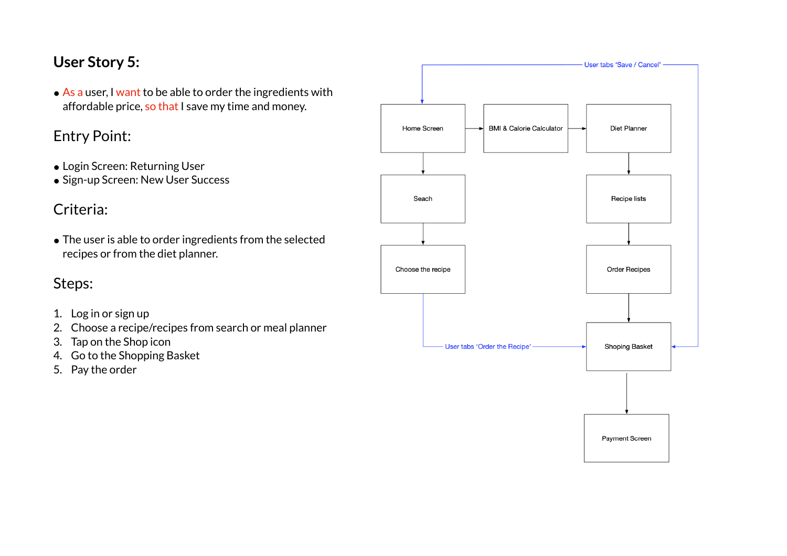# **User Story 5:**

• As a user, I want to be able to order the ingredients with affordable price, so that I save my time and money.

### Entry Point:

- Login Screen: Returning User
- Sign-up Screen: New User Success

# Criteria:

• The user is able to order ingredients from the selected recipes or from the diet planner.

- 1. Log in or sign up
- 2. Choose a recipe/recipes from search or meal planner
- 3. Tap on the Shop icon
- 4. Go to the Shopping Basket
- 5. Pay the order